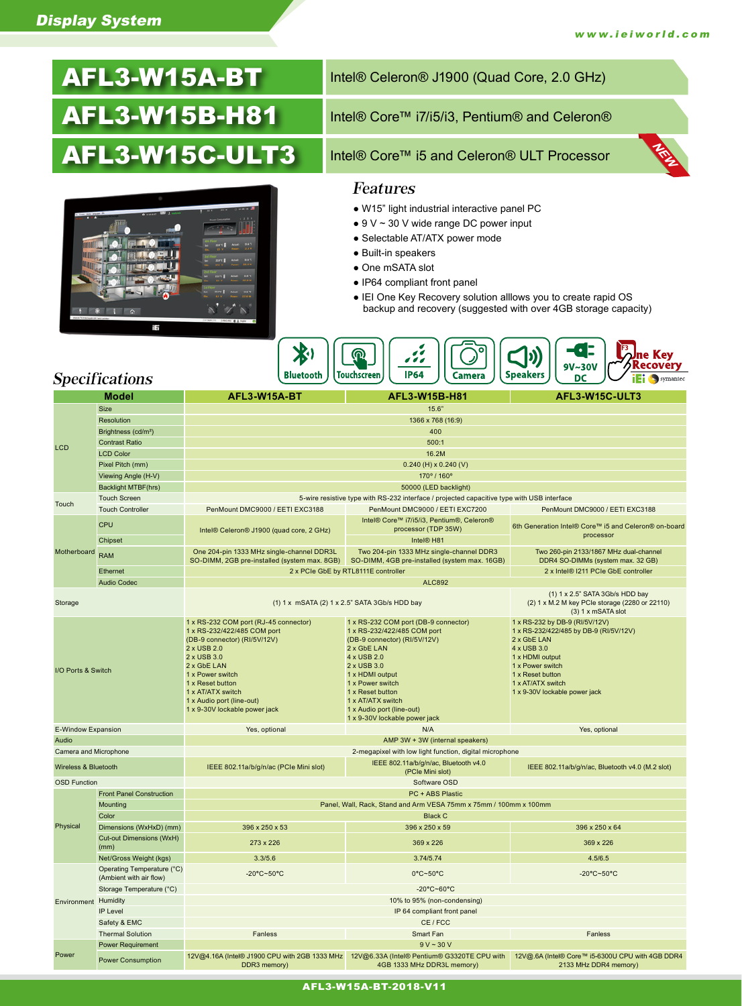Specifications

# AFL3-W15A-BT AFL3-W15B-H81

# AFL3-W15C-ULT3



# Intel® Celeron® J1900 (Quad Core, 2.0 GHz) Intel® Core™ i7/i5/i3, Pentium® and Celeron® Intel® Core™ i5 and Celeron® ULT Processor ● W15" light industrial interactive panel PC Features **NEW**

- $\bullet$  9 V  $\sim$  30 V wide range DC power input
- Selectable AT/ATX power mode
- Built-in speakers
- One mSATA slot
- 
- IP64 compliant front panel
- IEI One Key Recovery solution alllows you to create rapid OS backup and recovery (suggested with over 4GB storage capacity)



| <b>Model</b>                |                                                       | AFL3-W15A-BT                                                                                                                                                                                                                                                                 | AFL3-W15B-H81                                                                                                                                                                                                                                                                                  | AFL3-W15C-ULT3                                                                                                                                                                                                          |  |  |  |
|-----------------------------|-------------------------------------------------------|------------------------------------------------------------------------------------------------------------------------------------------------------------------------------------------------------------------------------------------------------------------------------|------------------------------------------------------------------------------------------------------------------------------------------------------------------------------------------------------------------------------------------------------------------------------------------------|-------------------------------------------------------------------------------------------------------------------------------------------------------------------------------------------------------------------------|--|--|--|
|                             | <b>Size</b>                                           |                                                                                                                                                                                                                                                                              |                                                                                                                                                                                                                                                                                                |                                                                                                                                                                                                                         |  |  |  |
|                             | Resolution                                            | 1366 x 768 (16:9)                                                                                                                                                                                                                                                            |                                                                                                                                                                                                                                                                                                |                                                                                                                                                                                                                         |  |  |  |
|                             | Brightness (cd/m <sup>2</sup> )                       | 400                                                                                                                                                                                                                                                                          |                                                                                                                                                                                                                                                                                                |                                                                                                                                                                                                                         |  |  |  |
| <b>LCD</b>                  | <b>Contrast Ratio</b>                                 | 500:1                                                                                                                                                                                                                                                                        |                                                                                                                                                                                                                                                                                                |                                                                                                                                                                                                                         |  |  |  |
|                             | <b>LCD Color</b>                                      | 16.2M                                                                                                                                                                                                                                                                        |                                                                                                                                                                                                                                                                                                |                                                                                                                                                                                                                         |  |  |  |
|                             | Pixel Pitch (mm)                                      | $0.240$ (H) x $0.240$ (V)                                                                                                                                                                                                                                                    |                                                                                                                                                                                                                                                                                                |                                                                                                                                                                                                                         |  |  |  |
|                             | Viewing Angle (H-V)                                   | 170°/160°                                                                                                                                                                                                                                                                    |                                                                                                                                                                                                                                                                                                |                                                                                                                                                                                                                         |  |  |  |
|                             | <b>Backlight MTBF(hrs)</b>                            | 50000 (LED backlight)                                                                                                                                                                                                                                                        |                                                                                                                                                                                                                                                                                                |                                                                                                                                                                                                                         |  |  |  |
| Touch                       | <b>Touch Screen</b>                                   | 5-wire resistive type with RS-232 interface / projected capacitive type with USB interface                                                                                                                                                                                   |                                                                                                                                                                                                                                                                                                |                                                                                                                                                                                                                         |  |  |  |
|                             | <b>Touch Controller</b>                               | PenMount DMC9000 / EETI EXC3188                                                                                                                                                                                                                                              | PenMount DMC9000 / EETI EXC7200                                                                                                                                                                                                                                                                | PenMount DMC9000 / EETI EXC3188                                                                                                                                                                                         |  |  |  |
|                             | <b>CPU</b>                                            | Intel® Celeron® J1900 (quad core, 2 GHz)                                                                                                                                                                                                                                     | Intel® Core™ i7/i5/i3, Pentium®, Celeron®<br>processor (TDP 35W)                                                                                                                                                                                                                               | 6th Generation Intel® Core™ i5 and Celeron® on-board<br>processor                                                                                                                                                       |  |  |  |
|                             | Chipset                                               |                                                                                                                                                                                                                                                                              | Intel® H81                                                                                                                                                                                                                                                                                     |                                                                                                                                                                                                                         |  |  |  |
| Motherboard                 | <b>RAM</b>                                            | One 204-pin 1333 MHz single-channel DDR3L<br>SO-DIMM, 2GB pre-installed (system max. 8GB)                                                                                                                                                                                    | Two 204-pin 1333 MHz single-channel DDR3<br>SO-DIMM, 4GB pre-installed (system max. 16GB)                                                                                                                                                                                                      | Two 260-pin 2133/1867 MHz dual-channel<br>DDR4 SO-DIMMs (system max. 32 GB)                                                                                                                                             |  |  |  |
|                             | Ethernet                                              |                                                                                                                                                                                                                                                                              | 2 x PCIe GbE by RTL8111E controller                                                                                                                                                                                                                                                            | 2 x Intel® I211 PCIe GbE controller                                                                                                                                                                                     |  |  |  |
|                             | <b>Audio Codec</b>                                    |                                                                                                                                                                                                                                                                              | <b>ALC892</b>                                                                                                                                                                                                                                                                                  |                                                                                                                                                                                                                         |  |  |  |
| Storage                     |                                                       | (1) 1 x mSATA (2) 1 x 2.5" SATA 3Gb/s HDD bay                                                                                                                                                                                                                                |                                                                                                                                                                                                                                                                                                | (1) 1 x 2.5" SATA 3Gb/s HDD bay<br>(2) 1 x M.2 M key PCIe storage (2280 or 22110)<br>(3) 1 x mSATA slot                                                                                                                 |  |  |  |
| I/O Ports & Switch          |                                                       | 1 x RS-232 COM port (RJ-45 connector)<br>1 x RS-232/422/485 COM port<br>(DB-9 connector) (RI/5V/12V)<br>2 x USB 2.0<br>2 x USB 3.0<br>2 x GbE LAN<br>1 x Power switch<br>1 x Reset button<br>1 x AT/ATX switch<br>1 x Audio port (line-out)<br>1 x 9-30V lockable power jack | 1 x RS-232 COM port (DB-9 connector)<br>1 x RS-232/422/485 COM port<br>(DB-9 connector) (RI/5V/12V)<br>2 x GbE LAN<br>4 x USB 2.0<br>2 x USB 3.0<br>1 x HDMI output<br>1 x Power switch<br>1 x Reset button<br>1 x AT/ATX switch<br>1 x Audio port (line-out)<br>1 x 9-30V lockable power jack | 1 x RS-232 by DB-9 (RI/5V/12V)<br>1 x RS-232/422/485 by DB-9 (RI/5V/12V)<br>2 x GbE LAN<br>4 x USB 3.0<br>1 x HDMI output<br>1 x Power switch<br>1 x Reset button<br>1 x AT/ATX switch<br>1 x 9-30V lockable power jack |  |  |  |
| E-Window Expansion          |                                                       | Yes, optional                                                                                                                                                                                                                                                                | N/A                                                                                                                                                                                                                                                                                            | Yes, optional                                                                                                                                                                                                           |  |  |  |
| Audio                       |                                                       | AMP 3W + 3W (internal speakers)                                                                                                                                                                                                                                              |                                                                                                                                                                                                                                                                                                |                                                                                                                                                                                                                         |  |  |  |
| Camera and Microphone       |                                                       |                                                                                                                                                                                                                                                                              | 2-megapixel with low light function, digital microphone                                                                                                                                                                                                                                        |                                                                                                                                                                                                                         |  |  |  |
| Wireless & Bluetooth        |                                                       | IEEE 802.11a/b/g/n/ac (PCIe Mini slot)                                                                                                                                                                                                                                       | IEEE 802.11a/b/g/n/ac, Bluetooth v4.0<br>(PCIe Mini slot)                                                                                                                                                                                                                                      | IEEE 802.11a/b/g/n/ac, Bluetooth v4.0 (M.2 slot)                                                                                                                                                                        |  |  |  |
| <b>OSD Function</b>         |                                                       | Software OSD                                                                                                                                                                                                                                                                 |                                                                                                                                                                                                                                                                                                |                                                                                                                                                                                                                         |  |  |  |
|                             | <b>Front Panel Construction</b>                       | PC + ABS Plastic                                                                                                                                                                                                                                                             |                                                                                                                                                                                                                                                                                                |                                                                                                                                                                                                                         |  |  |  |
|                             | Mounting                                              | Panel, Wall, Rack, Stand and Arm VESA 75mm x 75mm / 100mm x 100mm                                                                                                                                                                                                            |                                                                                                                                                                                                                                                                                                |                                                                                                                                                                                                                         |  |  |  |
|                             | Color                                                 | <b>Black C</b>                                                                                                                                                                                                                                                               |                                                                                                                                                                                                                                                                                                |                                                                                                                                                                                                                         |  |  |  |
| Physical                    | Dimensions (WxHxD) (mm)                               | 396 x 250 x 53                                                                                                                                                                                                                                                               | 396 x 250 x 59                                                                                                                                                                                                                                                                                 | 396 x 250 x 64                                                                                                                                                                                                          |  |  |  |
|                             | Cut-out Dimensions (WxH)<br>(mm)                      | 273 x 226                                                                                                                                                                                                                                                                    | 369 x 226                                                                                                                                                                                                                                                                                      | 369 x 226                                                                                                                                                                                                               |  |  |  |
|                             | Net/Gross Weight (kgs)                                | 3.3/5.6                                                                                                                                                                                                                                                                      | 3.74/5.74                                                                                                                                                                                                                                                                                      | 4.5/6.5                                                                                                                                                                                                                 |  |  |  |
| <b>Environment Humidity</b> | Operating Temperature (°C)<br>(Ambient with air flow) | $-20^{\circ}$ C~50°C                                                                                                                                                                                                                                                         | $0^{\circ}$ C~50 $^{\circ}$ C                                                                                                                                                                                                                                                                  | $-20^{\circ}$ C $-50^{\circ}$ C                                                                                                                                                                                         |  |  |  |
|                             | Storage Temperature (°C)                              | -20°C~60°C                                                                                                                                                                                                                                                                   |                                                                                                                                                                                                                                                                                                |                                                                                                                                                                                                                         |  |  |  |
|                             |                                                       | 10% to 95% (non-condensing)                                                                                                                                                                                                                                                  |                                                                                                                                                                                                                                                                                                |                                                                                                                                                                                                                         |  |  |  |
|                             | <b>IP Level</b>                                       | IP 64 compliant front panel                                                                                                                                                                                                                                                  |                                                                                                                                                                                                                                                                                                |                                                                                                                                                                                                                         |  |  |  |
|                             | Safety & EMC                                          |                                                                                                                                                                                                                                                                              | CE/FCC                                                                                                                                                                                                                                                                                         |                                                                                                                                                                                                                         |  |  |  |
|                             | <b>Thermal Solution</b>                               | Fanless                                                                                                                                                                                                                                                                      | Smart Fan                                                                                                                                                                                                                                                                                      | <b>Fanless</b>                                                                                                                                                                                                          |  |  |  |
| Power                       | <b>Power Requirement</b>                              |                                                                                                                                                                                                                                                                              | 9 V ~ 30 V<br>12V@4.16A (Intel® J1900 CPU with 2GB 1333 MHz 12V@6.33A (Intel® Pentium® G3320TE CPU with                                                                                                                                                                                        |                                                                                                                                                                                                                         |  |  |  |
|                             | <b>Power Consumption</b>                              | DDR3 memory)                                                                                                                                                                                                                                                                 | 4GB 1333 MHz DDR3L memory)                                                                                                                                                                                                                                                                     | 12V@.6A (Intel® Core™ i5-6300U CPU with 4GB DDR4<br>2133 MHz DDR4 memory)                                                                                                                                               |  |  |  |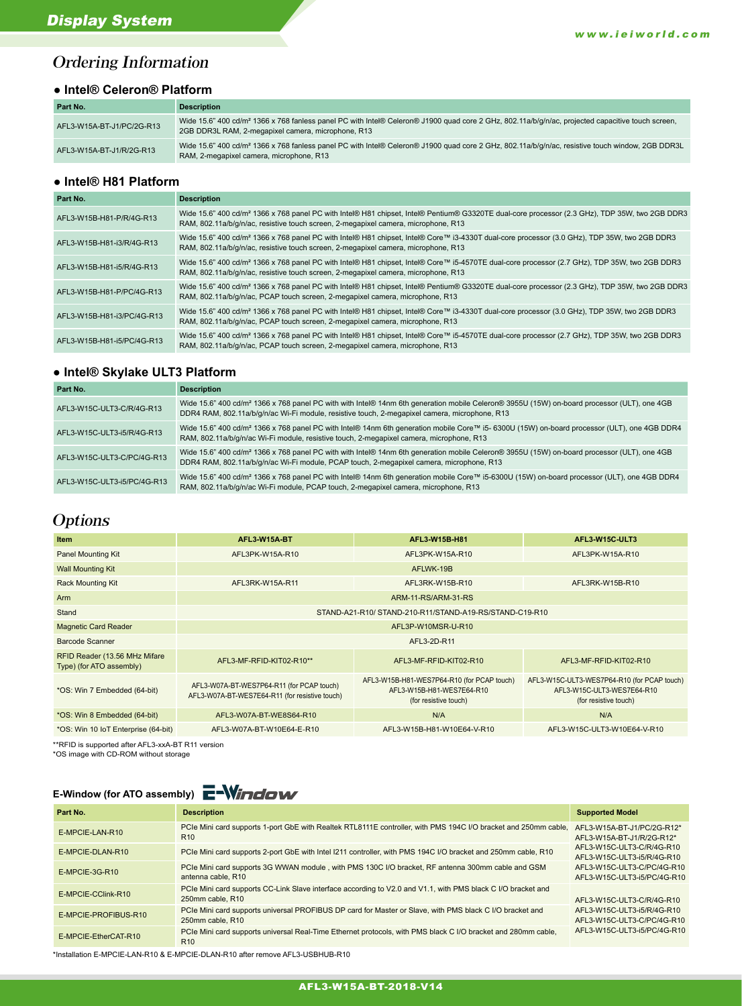# Ordering Information

#### **● Intel® Celeron® Platform**

| Part No.                  | <b>Description</b>                                                                                                                                                                                                  |
|---------------------------|---------------------------------------------------------------------------------------------------------------------------------------------------------------------------------------------------------------------|
| AFL3-W15A-BT-J1/PC/2G-R13 | Wide 15.6" 400 cd/m <sup>2</sup> 1366 x 768 fanless panel PC with Intel® Celeron® J1900 quad core 2 GHz, 802.11a/b/q/n/ac, projected capacitive touch screen,<br>2GB DDR3L RAM, 2-megapixel camera, microphone, R13 |
| AFL3-W15A-BT-J1/R/2G-R13  | Wide 15.6" 400 cd/m <sup>2</sup> 1366 x 768 fanless panel PC with Intel® Celeron® J1900 quad core 2 GHz, 802.11a/b/q/n/ac, resistive touch window, 2GB DDR3L<br>RAM, 2-megapixel camera, microphone, R13            |

#### **● Intel® H81 Platform**

| Part No.                   | <b>Description</b>                                                                                                                                                                                                                               |
|----------------------------|--------------------------------------------------------------------------------------------------------------------------------------------------------------------------------------------------------------------------------------------------|
| AFL3-W15B-H81-P/R/4G-R13   | Wide 15.6" 400 cd/m <sup>2</sup> 1366 x 768 panel PC with Intel® H81 chipset, Intel® Pentium® G3320TE dual-core processor (2.3 GHz), TDP 35W, two 2GB DDR3<br>RAM, 802.11a/b/q/n/ac, resistive touch screen, 2-megapixel camera, microphone, R13 |
| AFL3-W15B-H81-i3/R/4G-R13  | Wide 15.6" 400 cd/m <sup>2</sup> 1366 x 768 panel PC with Intel® H81 chipset, Intel® Core™ i3-4330T dual-core processor (3.0 GHz), TDP 35W, two 2GB DDR3<br>RAM, 802.11a/b/q/n/ac, resistive touch screen, 2-megapixel camera, microphone, R13   |
| AFL3-W15B-H81-i5/R/4G-R13  | Wide 15.6" 400 cd/m <sup>2</sup> 1366 x 768 panel PC with Intel® H81 chipset, Intel® Core™ i5-4570TE dual-core processor (2.7 GHz), TDP 35W, two 2GB DDR3<br>RAM, 802.11a/b/q/n/ac, resistive touch screen, 2-megapixel camera, microphone, R13  |
| AFL3-W15B-H81-P/PC/4G-R13  | Wide 15.6" 400 cd/m <sup>2</sup> 1366 x 768 panel PC with Intel® H81 chipset, Intel® Pentium® G3320TE dual-core processor (2.3 GHz), TDP 35W, two 2GB DDR3<br>RAM, 802.11a/b/q/n/ac, PCAP touch screen, 2-megapixel camera, microphone, R13      |
| AFL3-W15B-H81-i3/PC/4G-R13 | Wide 15.6" 400 cd/m <sup>2</sup> 1366 x 768 panel PC with Intel® H81 chipset, Intel® Core™ i3-4330T dual-core processor (3.0 GHz), TDP 35W, two 2GB DDR3<br>RAM, 802.11a/b/q/n/ac, PCAP touch screen, 2-megapixel camera, microphone, R13        |
| AFL3-W15B-H81-i5/PC/4G-R13 | Wide 15.6" 400 cd/m <sup>2</sup> 1366 x 768 panel PC with Intel® H81 chipset, Intel® Core™ i5-4570TE dual-core processor (2.7 GHz), TDP 35W, two 2GB DDR3<br>RAM, 802.11a/b/q/n/ac, PCAP touch screen, 2-megapixel camera, microphone, R13       |

#### **● Intel® Skylake ULT3 Platform**

| Part No.                    | <b>Description</b>                                                                                                                                                                                                                                       |
|-----------------------------|----------------------------------------------------------------------------------------------------------------------------------------------------------------------------------------------------------------------------------------------------------|
| AFL3-W15C-ULT3-C/R/4G-R13   | Wide 15.6" 400 cd/m <sup>2</sup> 1366 x 768 panel PC with with Intel® 14nm 6th generation mobile Celeron® 3955U (15W) on-board processor (ULT), one 4GB<br>DDR4 RAM, 802.11a/b/q/n/ac Wi-Fi module, resistive touch, 2-megapixel camera, microphone, R13 |
| AFL3-W15C-ULT3-i5/R/4G-R13  | Wide 15.6" 400 cd/m <sup>2</sup> 1366 x 768 panel PC with Intel® 14nm 6th generation mobile Core™ i5- 6300U (15W) on-board processor (ULT), one 4GB DDR4<br>RAM, 802.11a/b/q/n/ac Wi-Fi module, resistive touch, 2-megapixel camera, microphone, R13     |
| AFL3-W15C-ULT3-C/PC/4G-R13  | Wide 15.6" 400 cd/m <sup>2</sup> 1366 x 768 panel PC with with Intel® 14nm 6th generation mobile Celeron® 3955U (15W) on-board processor (ULT), one 4GB<br>DDR4 RAM, 802.11a/b/g/n/ac Wi-Fi module, PCAP touch, 2-megapixel camera, microphone, R13      |
| AFL3-W15C-ULT3-i5/PC/4G-R13 | Wide 15.6" 400 cd/m <sup>2</sup> 1366 x 768 panel PC with Intel® 14nm 6th generation mobile Core™ i5-6300U (15W) on-board processor (ULT), one 4GB DDR4<br>RAM, 802.11a/b/q/n/ac Wi-Fi module, PCAP touch, 2-megapixel camera, microphone, R13           |

# **Options**

| <b>Item</b>                                                      | AFL3 W15A-BT                                                                                | <b>AFL3 W15B H81</b>                                                                             | AFL3 W15C ULT3                                                                                     |  |
|------------------------------------------------------------------|---------------------------------------------------------------------------------------------|--------------------------------------------------------------------------------------------------|----------------------------------------------------------------------------------------------------|--|
| <b>Panel Mounting Kit</b>                                        | AFL3PK-W15A-R10                                                                             | AFL3PK-W15A-R10                                                                                  | AFL3PK-W15A-R10                                                                                    |  |
| <b>Wall Mounting Kit</b>                                         |                                                                                             |                                                                                                  |                                                                                                    |  |
| <b>Rack Mounting Kit</b>                                         | AFL3RK-W15A-R11                                                                             | AFL3RK-W15B-R10                                                                                  | AFL3RK-W15B-R10                                                                                    |  |
| Arm                                                              | ARM-11-RS/ARM-31-RS                                                                         |                                                                                                  |                                                                                                    |  |
| Stand                                                            | STAND-A21-R10/ STAND-210-R11/STAND-A19-RS/STAND-C19-R10                                     |                                                                                                  |                                                                                                    |  |
| <b>Magnetic Card Reader</b>                                      | AFL3P-W10MSR-U-R10                                                                          |                                                                                                  |                                                                                                    |  |
| <b>Barcode Scanner</b>                                           | AFL3-2D-R11                                                                                 |                                                                                                  |                                                                                                    |  |
| RFID Reader (13.56 MHz Mifare<br>Type) (for ATO assembly)        | AFL3-MF-RFID-KIT02-R10**                                                                    | AFL3-MF-RFID-KIT02-R10                                                                           | AFL3-MF-RFID-KIT02-R10                                                                             |  |
| *OS: Win 7 Embedded (64-bit)                                     | AFL3-W07A-BT-WES7P64-R11 (for PCAP touch)<br>AFL3-W07A-BT-WES7E64-R11 (for resistive touch) | AFL3-W15B-H81-WES7P64-R10 (for PCAP touch)<br>AFL3-W15B-H81-WES7E64-R10<br>(for resistive touch) | AFL3-W15C-ULT3-WES7P64-R10 (for PCAP touch)<br>AFL3-W15C-ULT3-WES7E64-R10<br>(for resistive touch) |  |
| *OS: Win 8 Embedded (64-bit)                                     | AFL3-W07A-BT-WE8S64-R10                                                                     | N/A                                                                                              | N/A                                                                                                |  |
| *OS: Win 10 IoT Enterprise (64-bit)<br>AFL3-W07A-BT-W10E64-E-R10 |                                                                                             | AFL3-W15B-H81-W10E64-V-R10                                                                       | AFL3-W15C-ULT3-W10E64-V-R10                                                                        |  |

\*\*RFID is supported after AFL3-xxA-BT R11 version

\*OS image with CD-ROM without storage

# **E-Window (for ATO assembly) E-Window**

| Part No.             | <b>Description</b>                                                                                                                 | <b>Supported Model</b>                                    |  |
|----------------------|------------------------------------------------------------------------------------------------------------------------------------|-----------------------------------------------------------|--|
| E-MPCIE-LAN-R10      | PCIe Mini card supports 1-port GbE with Realtek RTL8111E controller, with PMS 194C I/O bracket and 250mm cable,<br>R <sub>10</sub> | AFL3-W15A-BT-J1/PC/2G-R12*<br>AFL3-W15A-BT-J1/R/2G-R12*   |  |
| E-MPCIE-DLAN-R10     | PCIe Mini card supports 2-port GbE with Intel I211 controller, with PMS 194C I/O bracket and 250mm cable, R10                      |                                                           |  |
| $E-MPCIE-3G-R10$     | PCIe Mini card supports 3G WWAN module, with PMS 130C I/O bracket, RF antenna 300mm cable and GSM<br>antenna cable, R10            | AFL3-W15C-ULT3-C/PC/4G-R10<br>AFL3-W15C-ULT3-i5/PC/4G-R10 |  |
| E-MPCIE-CClink-R10   | PCIe Mini card supports CC-Link Slave interface according to V2.0 and V1.1, with PMS black C I/O bracket and<br>250mm cable, R10   |                                                           |  |
| E-MPCIE-PROFIBUS-R10 | PCIe Mini card supports universal PROFIBUS DP card for Master or Slave, with PMS black C I/O bracket and<br>250mm cable, R10       | AFL3-W15C-ULT3-i5/R/4G-R10<br>AFL3-W15C-ULT3-C/PC/4G-R10  |  |
| E-MPCIE-EtherCAT-R10 | PCIe Mini card supports universal Real-Time Ethernet protocols, with PMS black C I/O bracket and 280mm cable,<br>R <sub>10</sub>   | AFL3-W15C-ULT3-i5/PC/4G-R10                               |  |

\*Installation E-MPCIE-LAN-R10 & E-MPCIE-DLAN-R10 after remove AFL3-USBHUB-R10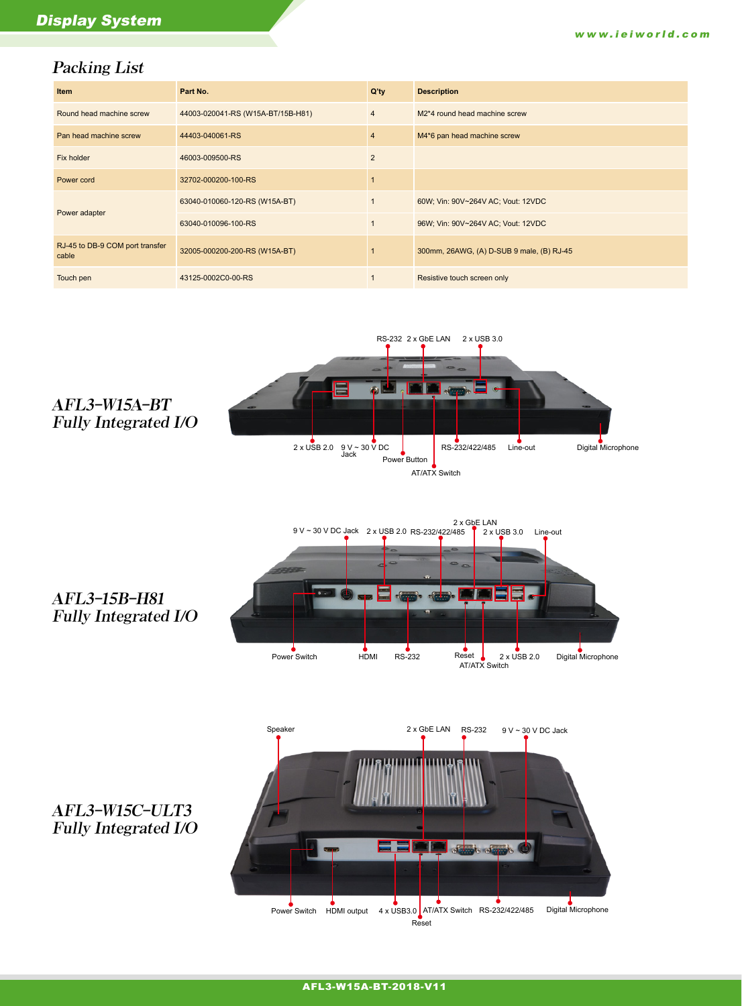### Packing List

| Item                                     | Part No.                          | $Q'$ ty        | <b>Description</b>                        |
|------------------------------------------|-----------------------------------|----------------|-------------------------------------------|
| Round head machine screw                 | 44003-020041-RS (W15A-BT/15B-H81) | $\overline{4}$ | M2*4 round head machine screw             |
| Pan head machine screw                   | 44403-040061-RS                   | $\overline{4}$ | M4*6 pan head machine screw               |
| Fix holder                               | 46003-009500-RS                   | $\overline{2}$ |                                           |
| Power cord                               | 32702-000200-100-RS               |                |                                           |
|                                          | 63040-010060-120-RS (W15A-BT)     | $\overline{1}$ | 60W; Vin: 90V~264V AC; Vout: 12VDC        |
| Power adapter                            | 63040-010096-100-RS               | $\overline{1}$ | 96W; Vin: 90V~264V AC; Vout: 12VDC        |
| RJ-45 to DB-9 COM port transfer<br>cable | 32005-000200-200-RS (W15A-BT)     |                | 300mm, 26AWG, (A) D-SUB 9 male, (B) RJ-45 |
| Touch pen                                | 43125-0002C0-00-RS                |                | Resistive touch screen only               |





## AFL3-15B-H81 Fully Integrated I/O



## AFL3-W15C-ULT3 Fully Integrated I/O